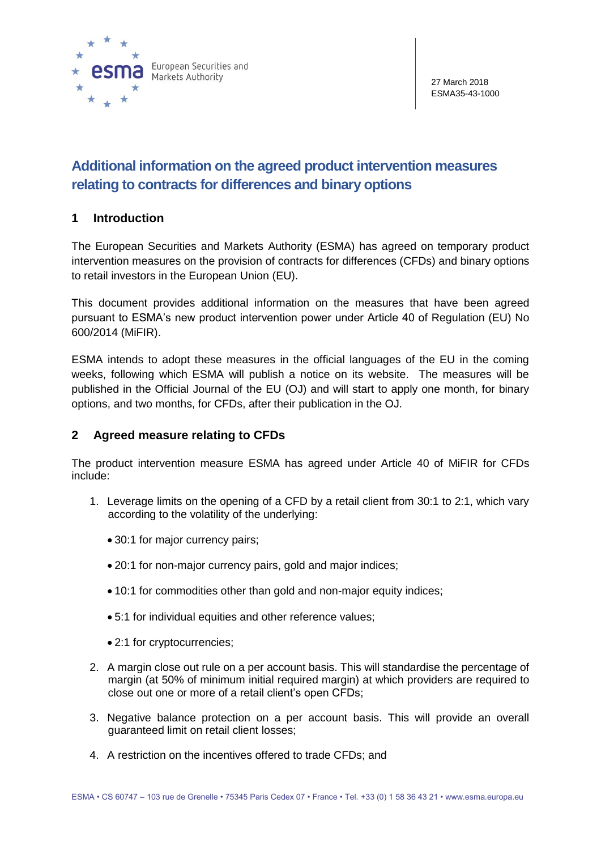

# **Additional information on the agreed product intervention measures relating to contracts for differences and binary options**

# **1 Introduction**

The European Securities and Markets Authority (ESMA) has agreed on temporary product intervention measures on the provision of contracts for differences (CFDs) and binary options to retail investors in the European Union (EU).

This document provides additional information on the measures that have been agreed pursuant to ESMA's new product intervention power under Article 40 of Regulation (EU) No 600/2014 (MiFIR).

ESMA intends to adopt these measures in the official languages of the EU in the coming weeks, following which ESMA will publish a notice on its website. The measures will be published in the Official Journal of the EU (OJ) and will start to apply one month, for binary options, and two months, for CFDs, after their publication in the OJ.

# **2 Agreed measure relating to CFDs**

The product intervention measure ESMA has agreed under Article 40 of MiFIR for CFDs include:

- 1. Leverage limits on the opening of a CFD by a retail client from 30:1 to 2:1, which vary according to the volatility of the underlying:
	- 30:1 for major currency pairs:
	- 20:1 for non-major currency pairs, gold and major indices;
	- 10:1 for commodities other than gold and non-major equity indices;
	- 5:1 for individual equities and other reference values;
	- 2:1 for cryptocurrencies;
- 2. A margin close out rule on a per account basis. This will standardise the percentage of margin (at 50% of minimum initial required margin) at which providers are required to close out one or more of a retail client's open CFDs;
- 3. Negative balance protection on a per account basis. This will provide an overall guaranteed limit on retail client losses;
- 4. A restriction on the incentives offered to trade CFDs; and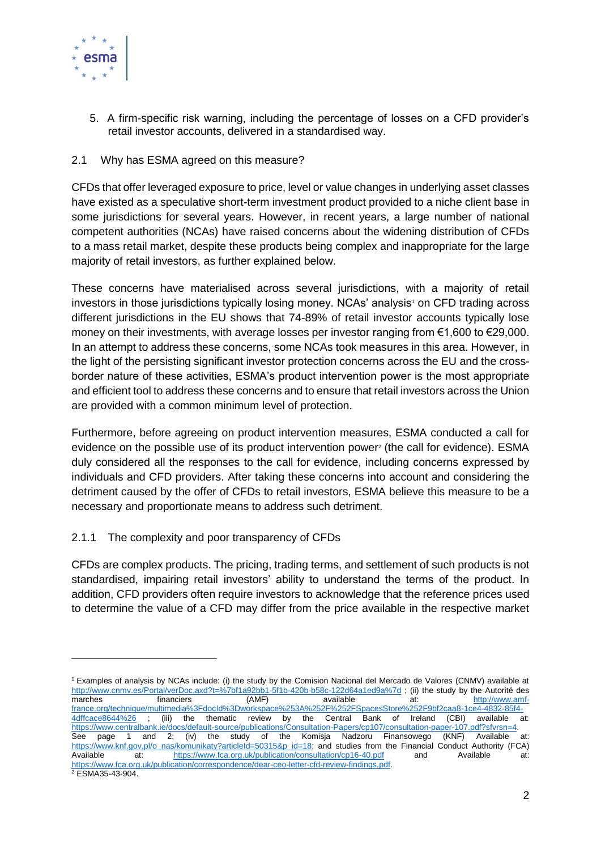

 $\overline{a}$ 

5. A firm-specific risk warning, including the percentage of losses on a CFD provider's retail investor accounts, delivered in a standardised way.

## 2.1 Why has ESMA agreed on this measure?

CFDs that offer leveraged exposure to price, level or value changes in underlying asset classes have existed as a speculative short-term investment product provided to a niche client base in some jurisdictions for several years. However, in recent years, a large number of national competent authorities (NCAs) have raised concerns about the widening distribution of CFDs to a mass retail market, despite these products being complex and inappropriate for the large majority of retail investors, as further explained below.

These concerns have materialised across several jurisdictions, with a majority of retail investors in those jurisdictions typically losing money. NCAs' analysis<sup>1</sup> on CFD trading across different jurisdictions in the EU shows that 74-89% of retail investor accounts typically lose money on their investments, with average losses per investor ranging from €1,600 to €29,000. In an attempt to address these concerns, some NCAs took measures in this area. However, in the light of the persisting significant investor protection concerns across the EU and the crossborder nature of these activities, ESMA's product intervention power is the most appropriate and efficient tool to address these concerns and to ensure that retail investors across the Union are provided with a common minimum level of protection.

Furthermore, before agreeing on product intervention measures, ESMA conducted a call for evidence on the possible use of its product intervention power<sup>2</sup> (the call for evidence). ESMA duly considered all the responses to the call for evidence, including concerns expressed by individuals and CFD providers. After taking these concerns into account and considering the detriment caused by the offer of CFDs to retail investors, ESMA believe this measure to be a necessary and proportionate means to address such detriment.

# 2.1.1 The complexity and poor transparency of CFDs

CFDs are complex products. The pricing, trading terms, and settlement of such products is not standardised, impairing retail investors' ability to understand the terms of the product. In addition, CFD providers often require investors to acknowledge that the reference prices used to determine the value of a CFD may differ from the price available in the respective market

<sup>1</sup> Examples of analysis by NCAs include: (i) the study by the Comision Nacional del Mercado de Valores (CNMV) available at <http://www.cnmv.es/Portal/verDoc.axd?t=%7bf1a92bb1-5f1b-420b-b58c-122d64a1ed9a%7d> ; (ii) the study by the Autorité des marches financiers (AMF) available at: [http://www.amf](http://www.amf-france.org/technique/multimedia%3FdocId%3Dworkspace%253A%252F%252FSpacesStore%252F9bf2caa8-1ce4-4832-85f4-4dffcace8644%26)[france.org/technique/multimedia%3FdocId%3Dworkspace%253A%252F%252FSpacesStore%252F9bf2caa8-1ce4-4832-85f4-](http://www.amf-france.org/technique/multimedia%3FdocId%3Dworkspace%253A%252F%252FSpacesStore%252F9bf2caa8-1ce4-4832-85f4-4dffcace8644%26) [4dffcace8644%26](http://www.amf-france.org/technique/multimedia%3FdocId%3Dworkspace%253A%252F%252FSpacesStore%252F9bf2caa8-1ce4-4832-85f4-4dffcace8644%26) ; (iii) the thematic review by the Central Bank of Ireland (CBI) available at: [https://www.centralbank.ie/docs/default-source/publications/Consultation-Papers/cp107/consultation-paper-107.pdf?sfvrsn=4.](https://www.centralbank.ie/docs/default-source/publications/Consultation-Papers/cp107/consultation-paper-107.pdf?sfvrsn=4)<br>See paqe 1 and 2: (iv) the study of the Komisja Nadzoru Finansowego (KNF) Available See page 1 and 2; (iv) the study of the Komisja Nadzoru Finansowego (KNF) Available at: [https://www.knf.gov.pl/o\\_nas/komunikaty?articleId=50315&p\\_id=18;](https://www.knf.gov.pl/o_nas/komunikaty?articleId=50315&p_id=18) and studies from the Financial Conduct Authority (FCA) Available at: <https://www.fca.org.uk/publication/consultation/cp16-40.pdf> and Available at: [https://www.fca.org.uk/publication/correspondence/dear-ceo-letter-cfd-review-findings.pdf.](https://www.fca.org.uk/publication/correspondence/dear-ceo-letter-cfd-review-findings.pdf)  <sup>2</sup> ESMA35-43-904.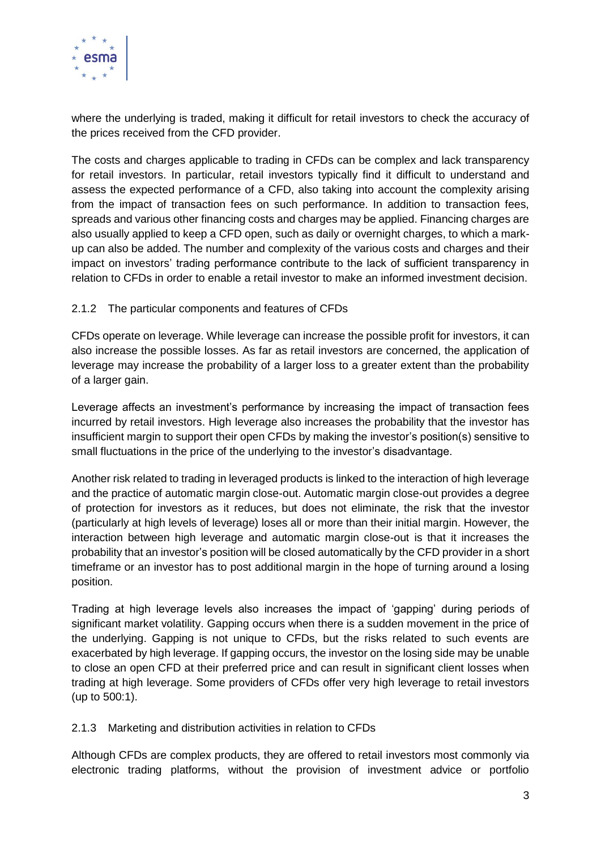

where the underlying is traded, making it difficult for retail investors to check the accuracy of the prices received from the CFD provider.

The costs and charges applicable to trading in CFDs can be complex and lack transparency for retail investors. In particular, retail investors typically find it difficult to understand and assess the expected performance of a CFD, also taking into account the complexity arising from the impact of transaction fees on such performance. In addition to transaction fees, spreads and various other financing costs and charges may be applied. Financing charges are also usually applied to keep a CFD open, such as daily or overnight charges, to which a markup can also be added. The number and complexity of the various costs and charges and their impact on investors' trading performance contribute to the lack of sufficient transparency in relation to CFDs in order to enable a retail investor to make an informed investment decision.

## 2.1.2 The particular components and features of CFDs

CFDs operate on leverage. While leverage can increase the possible profit for investors, it can also increase the possible losses. As far as retail investors are concerned, the application of leverage may increase the probability of a larger loss to a greater extent than the probability of a larger gain.

Leverage affects an investment's performance by increasing the impact of transaction fees incurred by retail investors. High leverage also increases the probability that the investor has insufficient margin to support their open CFDs by making the investor's position(s) sensitive to small fluctuations in the price of the underlying to the investor's disadvantage.

Another risk related to trading in leveraged products is linked to the interaction of high leverage and the practice of automatic margin close-out. Automatic margin close-out provides a degree of protection for investors as it reduces, but does not eliminate, the risk that the investor (particularly at high levels of leverage) loses all or more than their initial margin. However, the interaction between high leverage and automatic margin close-out is that it increases the probability that an investor's position will be closed automatically by the CFD provider in a short timeframe or an investor has to post additional margin in the hope of turning around a losing position.

Trading at high leverage levels also increases the impact of 'gapping' during periods of significant market volatility. Gapping occurs when there is a sudden movement in the price of the underlying. Gapping is not unique to CFDs, but the risks related to such events are exacerbated by high leverage. If gapping occurs, the investor on the losing side may be unable to close an open CFD at their preferred price and can result in significant client losses when trading at high leverage. Some providers of CFDs offer very high leverage to retail investors (up to 500:1).

#### 2.1.3 Marketing and distribution activities in relation to CFDs

Although CFDs are complex products, they are offered to retail investors most commonly via electronic trading platforms, without the provision of investment advice or portfolio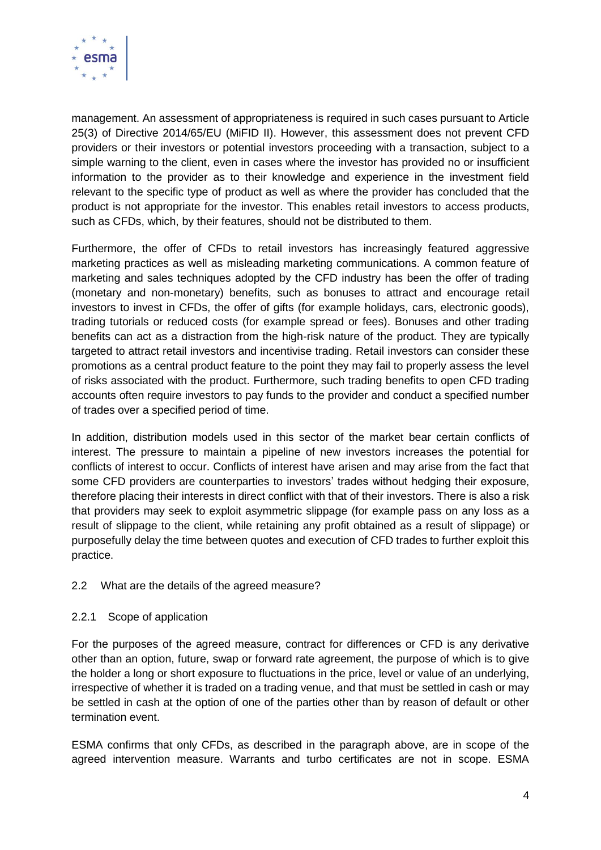

management. An assessment of appropriateness is required in such cases pursuant to Article 25(3) of Directive 2014/65/EU (MiFID II). However, this assessment does not prevent CFD providers or their investors or potential investors proceeding with a transaction, subject to a simple warning to the client, even in cases where the investor has provided no or insufficient information to the provider as to their knowledge and experience in the investment field relevant to the specific type of product as well as where the provider has concluded that the product is not appropriate for the investor. This enables retail investors to access products, such as CFDs, which, by their features, should not be distributed to them.

Furthermore, the offer of CFDs to retail investors has increasingly featured aggressive marketing practices as well as misleading marketing communications. A common feature of marketing and sales techniques adopted by the CFD industry has been the offer of trading (monetary and non-monetary) benefits, such as bonuses to attract and encourage retail investors to invest in CFDs, the offer of gifts (for example holidays, cars, electronic goods), trading tutorials or reduced costs (for example spread or fees). Bonuses and other trading benefits can act as a distraction from the high-risk nature of the product. They are typically targeted to attract retail investors and incentivise trading. Retail investors can consider these promotions as a central product feature to the point they may fail to properly assess the level of risks associated with the product. Furthermore, such trading benefits to open CFD trading accounts often require investors to pay funds to the provider and conduct a specified number of trades over a specified period of time.

In addition, distribution models used in this sector of the market bear certain conflicts of interest. The pressure to maintain a pipeline of new investors increases the potential for conflicts of interest to occur. Conflicts of interest have arisen and may arise from the fact that some CFD providers are counterparties to investors' trades without hedging their exposure, therefore placing their interests in direct conflict with that of their investors. There is also a risk that providers may seek to exploit asymmetric slippage (for example pass on any loss as a result of slippage to the client, while retaining any profit obtained as a result of slippage) or purposefully delay the time between quotes and execution of CFD trades to further exploit this practice.

# 2.2 What are the details of the agreed measure?

#### 2.2.1 Scope of application

For the purposes of the agreed measure, contract for differences or CFD is any derivative other than an option, future, swap or forward rate agreement, the purpose of which is to give the holder a long or short exposure to fluctuations in the price, level or value of an underlying, irrespective of whether it is traded on a trading venue, and that must be settled in cash or may be settled in cash at the option of one of the parties other than by reason of default or other termination event.

ESMA confirms that only CFDs, as described in the paragraph above, are in scope of the agreed intervention measure. Warrants and turbo certificates are not in scope. ESMA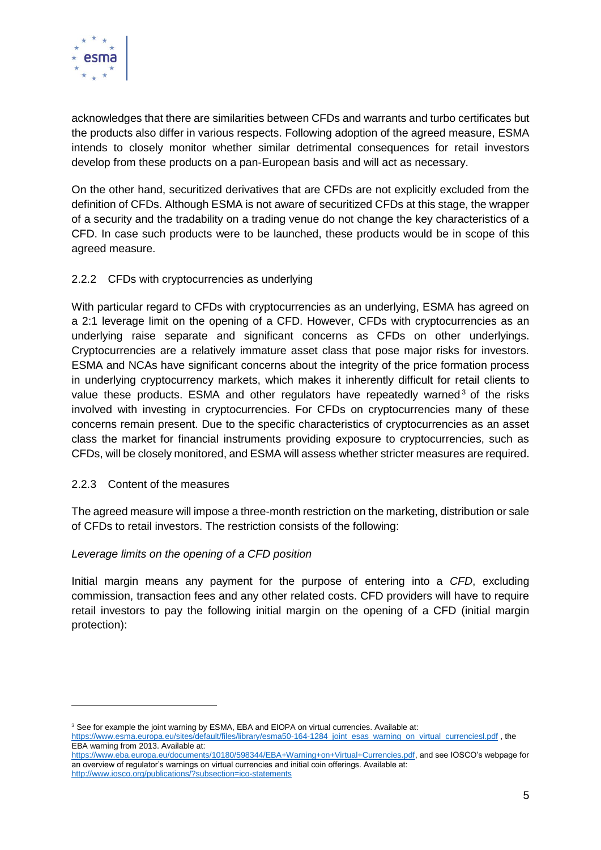

acknowledges that there are similarities between CFDs and warrants and turbo certificates but the products also differ in various respects. Following adoption of the agreed measure, ESMA intends to closely monitor whether similar detrimental consequences for retail investors develop from these products on a pan-European basis and will act as necessary.

On the other hand, securitized derivatives that are CFDs are not explicitly excluded from the definition of CFDs. Although ESMA is not aware of securitized CFDs at this stage, the wrapper of a security and the tradability on a trading venue do not change the key characteristics of a CFD. In case such products were to be launched, these products would be in scope of this agreed measure.

# 2.2.2 CFDs with cryptocurrencies as underlying

With particular regard to CFDs with cryptocurrencies as an underlying, ESMA has agreed on a 2:1 leverage limit on the opening of a CFD. However, CFDs with cryptocurrencies as an underlying raise separate and significant concerns as CFDs on other underlyings. Cryptocurrencies are a relatively immature asset class that pose major risks for investors. ESMA and NCAs have significant concerns about the integrity of the price formation process in underlying cryptocurrency markets, which makes it inherently difficult for retail clients to value these products. ESMA and other regulators have repeatedly warned<sup>3</sup> of the risks involved with investing in cryptocurrencies. For CFDs on cryptocurrencies many of these concerns remain present. Due to the specific characteristics of cryptocurrencies as an asset class the market for financial instruments providing exposure to cryptocurrencies, such as CFDs, will be closely monitored, and ESMA will assess whether stricter measures are required.

#### 2.2.3 Content of the measures

The agreed measure will impose a three-month restriction on the marketing, distribution or sale of CFDs to retail investors. The restriction consists of the following:

#### *Leverage limits on the opening of a CFD position*

Initial margin means any payment for the purpose of entering into a *CFD*, excluding commission, transaction fees and any other related costs. CFD providers will have to require retail investors to pay the following initial margin on the opening of a CFD (initial margin protection):

<sup>&</sup>lt;sup>3</sup> See for example the joint warning by ESMA, EBA and EIOPA on virtual currencies. Available at:

[https://www.esma.europa.eu/sites/default/files/library/esma50-164-1284\\_joint\\_esas\\_warning\\_on\\_virtual\\_currenciesl.pdf](https://www.esma.europa.eu/sites/default/files/library/esma50-164-1284_joint_esas_warning_on_virtual_currenciesl.pdf), the EBA warning from 2013. Available at:

[https://www.eba.europa.eu/documents/10180/598344/EBA+Warning+on+Virtual+Currencies.pdf,](https://www.eba.europa.eu/documents/10180/598344/EBA+Warning+on+Virtual+Currencies.pdf) and see IOSCO's webpage for an overview of regulator's warnings on virtual currencies and initial coin offerings. Available at: <http://www.iosco.org/publications/?subsection=ico-statements>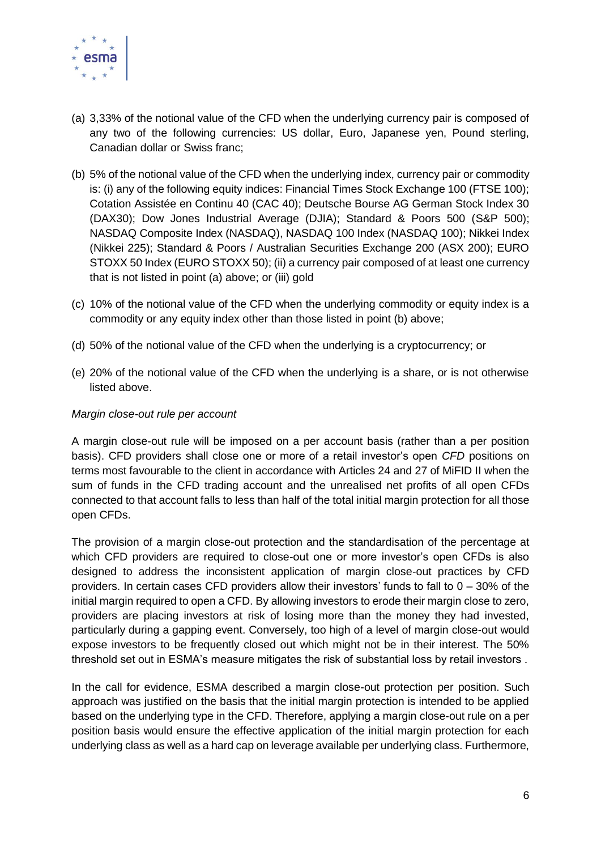

- (a) 3,33% of the notional value of the CFD when the underlying currency pair is composed of any two of the following currencies: US dollar, Euro, Japanese yen, Pound sterling, Canadian dollar or Swiss franc;
- (b) 5% of the notional value of the CFD when the underlying index, currency pair or commodity is: (i) any of the following equity indices: Financial Times Stock Exchange 100 (FTSE 100); Cotation Assistée en Continu 40 (CAC 40); Deutsche Bourse AG German Stock Index 30 (DAX30); Dow Jones Industrial Average (DJIA); Standard & Poors 500 (S&P 500); NASDAQ Composite Index (NASDAQ), NASDAQ 100 Index (NASDAQ 100); Nikkei Index (Nikkei 225); Standard & Poors / Australian Securities Exchange 200 (ASX 200); EURO STOXX 50 Index (EURO STOXX 50); (ii) a currency pair composed of at least one currency that is not listed in point (a) above; or (iii) gold
- (c) 10% of the notional value of the CFD when the underlying commodity or equity index is a commodity or any equity index other than those listed in point (b) above;
- (d) 50% of the notional value of the CFD when the underlying is a cryptocurrency; or
- (e) 20% of the notional value of the CFD when the underlying is a share, or is not otherwise listed above.

#### *Margin close-out rule per account*

A margin close-out rule will be imposed on a per account basis (rather than a per position basis). CFD providers shall close one or more of a retail investor's open *CFD* positions on terms most favourable to the client in accordance with Articles 24 and 27 of MiFID II when the sum of funds in the CFD trading account and the unrealised net profits of all open CFDs connected to that account falls to less than half of the total initial margin protection for all those open CFDs.

The provision of a margin close-out protection and the standardisation of the percentage at which CFD providers are required to close-out one or more investor's open CFDs is also designed to address the inconsistent application of margin close-out practices by CFD providers. In certain cases CFD providers allow their investors' funds to fall to 0 – 30% of the initial margin required to open a CFD. By allowing investors to erode their margin close to zero, providers are placing investors at risk of losing more than the money they had invested, particularly during a gapping event. Conversely, too high of a level of margin close-out would expose investors to be frequently closed out which might not be in their interest. The 50% threshold set out in ESMA's measure mitigates the risk of substantial loss by retail investors .

In the call for evidence, ESMA described a margin close-out protection per position. Such approach was justified on the basis that the initial margin protection is intended to be applied based on the underlying type in the CFD. Therefore, applying a margin close-out rule on a per position basis would ensure the effective application of the initial margin protection for each underlying class as well as a hard cap on leverage available per underlying class. Furthermore,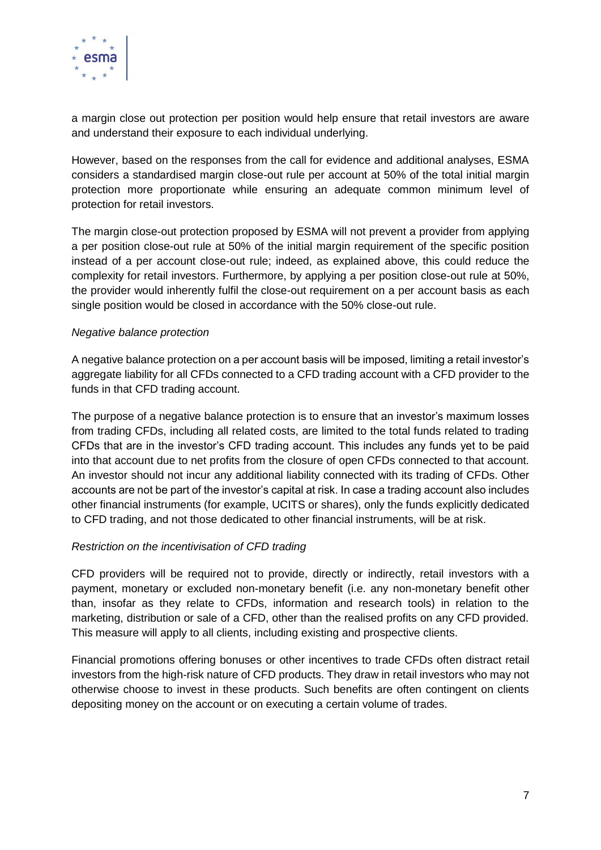

a margin close out protection per position would help ensure that retail investors are aware and understand their exposure to each individual underlying.

However, based on the responses from the call for evidence and additional analyses, ESMA considers a standardised margin close-out rule per account at 50% of the total initial margin protection more proportionate while ensuring an adequate common minimum level of protection for retail investors.

The margin close-out protection proposed by ESMA will not prevent a provider from applying a per position close-out rule at 50% of the initial margin requirement of the specific position instead of a per account close-out rule; indeed, as explained above, this could reduce the complexity for retail investors. Furthermore, by applying a per position close-out rule at 50%, the provider would inherently fulfil the close-out requirement on a per account basis as each single position would be closed in accordance with the 50% close-out rule.

#### *Negative balance protection*

A negative balance protection on a per account basis will be imposed, limiting a retail investor's aggregate liability for all CFDs connected to a CFD trading account with a CFD provider to the funds in that CFD trading account.

The purpose of a negative balance protection is to ensure that an investor's maximum losses from trading CFDs, including all related costs, are limited to the total funds related to trading CFDs that are in the investor's CFD trading account. This includes any funds yet to be paid into that account due to net profits from the closure of open CFDs connected to that account. An investor should not incur any additional liability connected with its trading of CFDs. Other accounts are not be part of the investor's capital at risk. In case a trading account also includes other financial instruments (for example, UCITS or shares), only the funds explicitly dedicated to CFD trading, and not those dedicated to other financial instruments, will be at risk.

#### *Restriction on the incentivisation of CFD trading*

CFD providers will be required not to provide, directly or indirectly, retail investors with a payment, monetary or excluded non-monetary benefit (i.e. any non-monetary benefit other than, insofar as they relate to CFDs, information and research tools) in relation to the marketing, distribution or sale of a CFD, other than the realised profits on any CFD provided. This measure will apply to all clients, including existing and prospective clients.

Financial promotions offering bonuses or other incentives to trade CFDs often distract retail investors from the high-risk nature of CFD products. They draw in retail investors who may not otherwise choose to invest in these products. Such benefits are often contingent on clients depositing money on the account or on executing a certain volume of trades.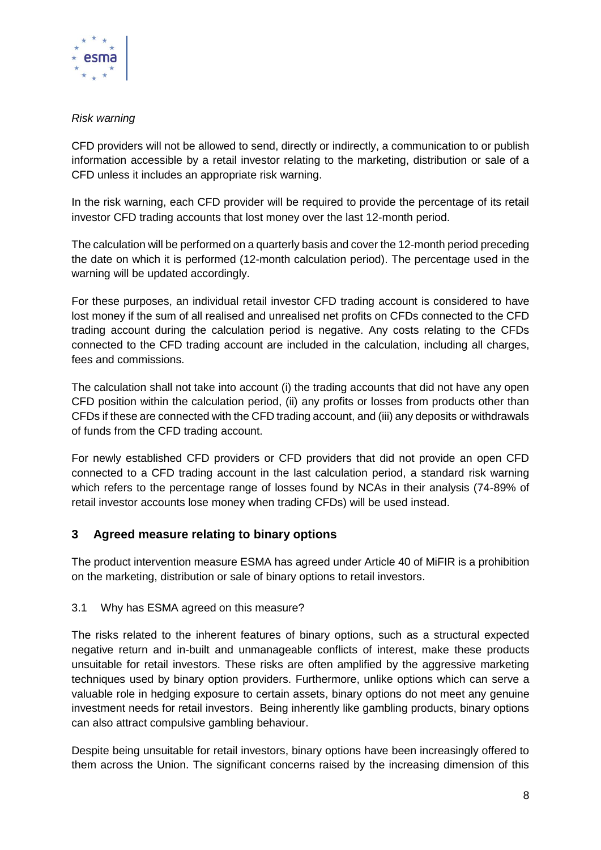

## *Risk warning*

CFD providers will not be allowed to send, directly or indirectly, a communication to or publish information accessible by a retail investor relating to the marketing, distribution or sale of a CFD unless it includes an appropriate risk warning.

In the risk warning, each CFD provider will be required to provide the percentage of its retail investor CFD trading accounts that lost money over the last 12-month period.

The calculation will be performed on a quarterly basis and cover the 12-month period preceding the date on which it is performed (12-month calculation period). The percentage used in the warning will be updated accordingly.

For these purposes, an individual retail investor CFD trading account is considered to have lost money if the sum of all realised and unrealised net profits on CFDs connected to the CFD trading account during the calculation period is negative. Any costs relating to the CFDs connected to the CFD trading account are included in the calculation, including all charges, fees and commissions.

The calculation shall not take into account (i) the trading accounts that did not have any open CFD position within the calculation period, (ii) any profits or losses from products other than CFDs if these are connected with the CFD trading account, and (iii) any deposits or withdrawals of funds from the CFD trading account.

For newly established CFD providers or CFD providers that did not provide an open CFD connected to a CFD trading account in the last calculation period, a standard risk warning which refers to the percentage range of losses found by NCAs in their analysis (74-89% of retail investor accounts lose money when trading CFDs) will be used instead.

# **3 Agreed measure relating to binary options**

The product intervention measure ESMA has agreed under Article 40 of MiFIR is a prohibition on the marketing, distribution or sale of binary options to retail investors.

#### 3.1 Why has ESMA agreed on this measure?

The risks related to the inherent features of binary options, such as a structural expected negative return and in-built and unmanageable conflicts of interest, make these products unsuitable for retail investors. These risks are often amplified by the aggressive marketing techniques used by binary option providers. Furthermore, unlike options which can serve a valuable role in hedging exposure to certain assets, binary options do not meet any genuine investment needs for retail investors. Being inherently like gambling products, binary options can also attract compulsive gambling behaviour.

Despite being unsuitable for retail investors, binary options have been increasingly offered to them across the Union. The significant concerns raised by the increasing dimension of this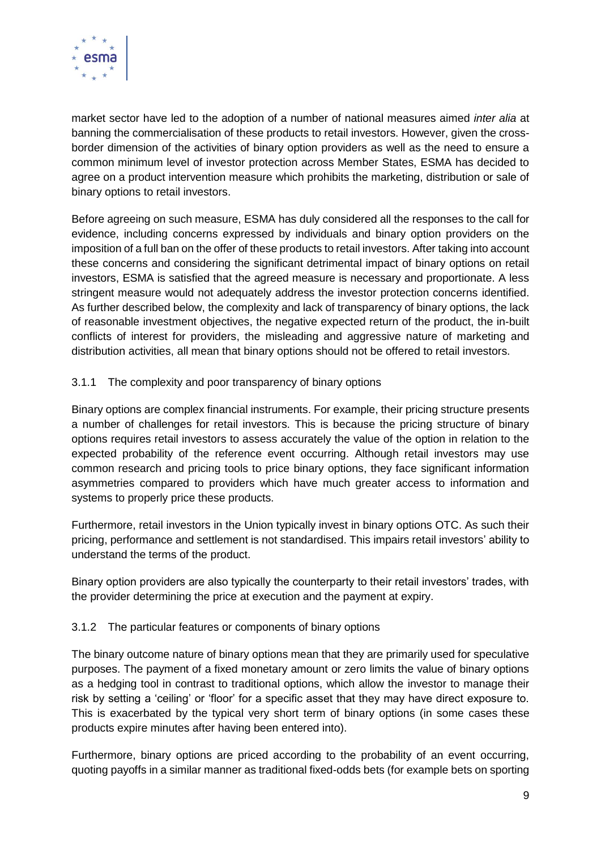

market sector have led to the adoption of a number of national measures aimed *inter alia* at banning the commercialisation of these products to retail investors. However, given the crossborder dimension of the activities of binary option providers as well as the need to ensure a common minimum level of investor protection across Member States, ESMA has decided to agree on a product intervention measure which prohibits the marketing, distribution or sale of binary options to retail investors.

Before agreeing on such measure, ESMA has duly considered all the responses to the call for evidence, including concerns expressed by individuals and binary option providers on the imposition of a full ban on the offer of these products to retail investors. After taking into account these concerns and considering the significant detrimental impact of binary options on retail investors, ESMA is satisfied that the agreed measure is necessary and proportionate. A less stringent measure would not adequately address the investor protection concerns identified. As further described below, the complexity and lack of transparency of binary options, the lack of reasonable investment objectives, the negative expected return of the product, the in-built conflicts of interest for providers, the misleading and aggressive nature of marketing and distribution activities, all mean that binary options should not be offered to retail investors.

## 3.1.1 The complexity and poor transparency of binary options

Binary options are complex financial instruments. For example, their pricing structure presents a number of challenges for retail investors. This is because the pricing structure of binary options requires retail investors to assess accurately the value of the option in relation to the expected probability of the reference event occurring. Although retail investors may use common research and pricing tools to price binary options, they face significant information asymmetries compared to providers which have much greater access to information and systems to properly price these products.

Furthermore, retail investors in the Union typically invest in binary options OTC. As such their pricing, performance and settlement is not standardised. This impairs retail investors' ability to understand the terms of the product.

Binary option providers are also typically the counterparty to their retail investors' trades, with the provider determining the price at execution and the payment at expiry.

#### 3.1.2 The particular features or components of binary options

The binary outcome nature of binary options mean that they are primarily used for speculative purposes. The payment of a fixed monetary amount or zero limits the value of binary options as a hedging tool in contrast to traditional options, which allow the investor to manage their risk by setting a 'ceiling' or 'floor' for a specific asset that they may have direct exposure to. This is exacerbated by the typical very short term of binary options (in some cases these products expire minutes after having been entered into).

Furthermore, binary options are priced according to the probability of an event occurring, quoting payoffs in a similar manner as traditional fixed-odds bets (for example bets on sporting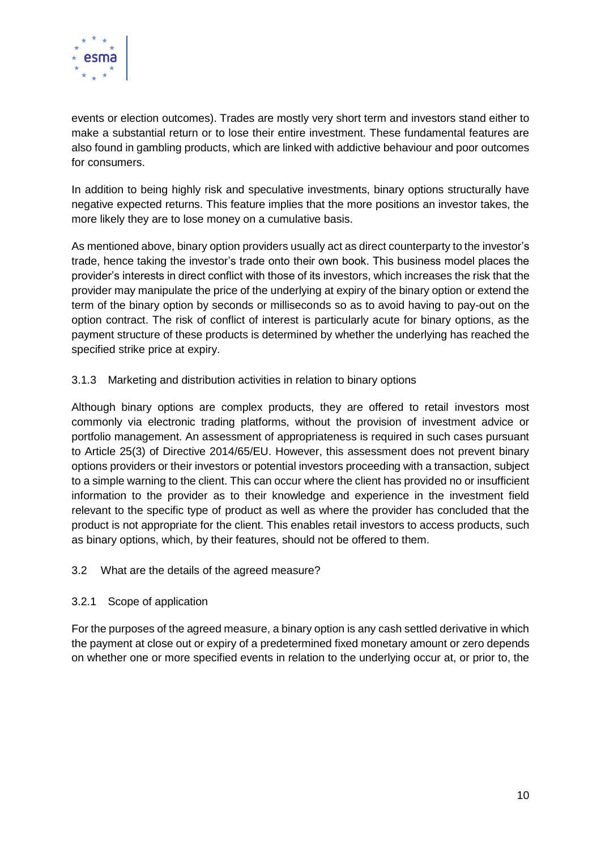

events or election outcomes). Trades are mostly very short term and investors stand either to make a substantial return or to lose their entire investment. These fundamental features are also found in gambling products, which are linked with addictive behaviour and poor outcomes for consumers.

In addition to being highly risk and speculative investments, binary options structurally have negative expected returns. This feature implies that the more positions an investor takes, the more likely they are to lose money on a cumulative basis.

As mentioned above, binary option providers usually act as direct counterparty to the investor's trade, hence taking the investor's trade onto their own book. This business model places the provider's interests in direct conflict with those of its investors, which increases the risk that the provider may manipulate the price of the underlying at expiry of the binary option or extend the term of the binary option by seconds or milliseconds so as to avoid having to pay-out on the option contract. The risk of conflict of interest is particularly acute for binary options, as the payment structure of these products is determined by whether the underlying has reached the specified strike price at expiry.

## 3.1.3 Marketing and distribution activities in relation to binary options

Although binary options are complex products, they are offered to retail investors most commonly via electronic trading platforms, without the provision of investment advice or portfolio management. An assessment of appropriateness is required in such cases pursuant to Article 25(3) of Directive 2014/65/EU. However, this assessment does not prevent binary options providers or their investors or potential investors proceeding with a transaction, subject to a simple warning to the client. This can occur where the client has provided no or insufficient information to the provider as to their knowledge and experience in the investment field relevant to the specific type of product as well as where the provider has concluded that the product is not appropriate for the client. This enables retail investors to access products, such as binary options, which, by their features, should not be offered to them.

#### 3.2 What are the details of the agreed measure?

# 3.2.1 Scope of application

For the purposes of the agreed measure, a binary option is any cash settled derivative in which the payment at close out or expiry of a predetermined fixed monetary amount or zero depends on whether one or more specified events in relation to the underlying occur at, or prior to, the